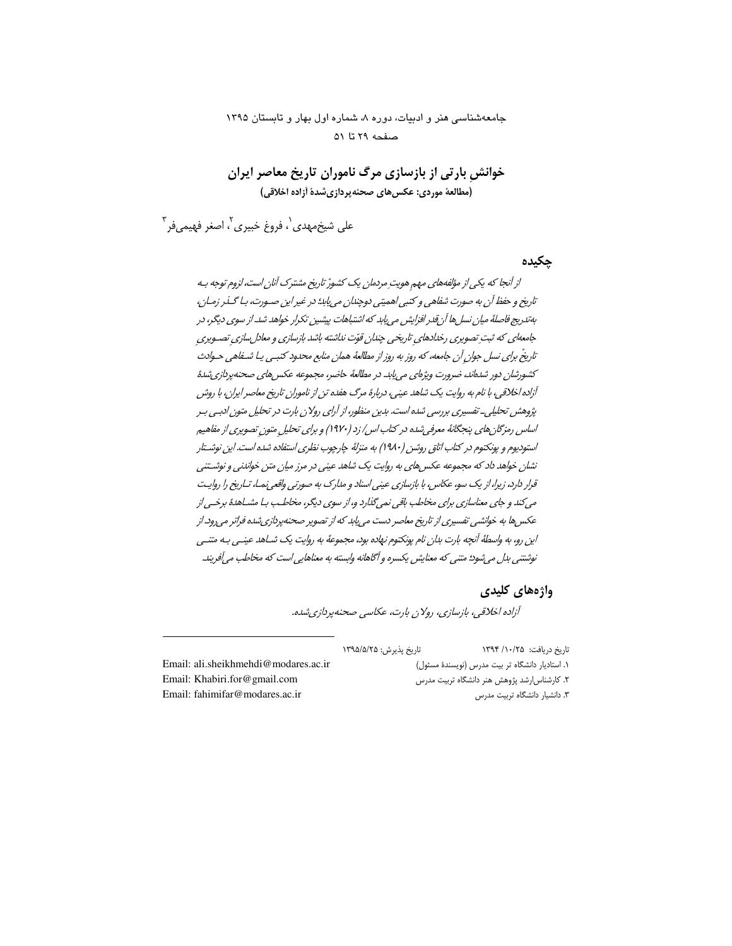# جامعهشناسی هنر و ادبیات، دوره ٨، شماره اول بهار و تابستان ١٣٩٥ صفحه ٢٩ تا ٥١

خوانش بارتی از بازسازی مرگ ناموران تاریخ معاصر ایران (مطالعة موردي: عكس هاي صحنه يردازي شدة أزاده اخلاقي)

علي شيخمهدي`، فروغ خبيري<sup>∙</sup>، اصغر فهيميفر<sup>۳</sup>

#### حكىدە

از آنجا که یکی از مؤلفههای مهم هویتِ مردمان یک کشورْ تاریخ مشترک آنان است، لزوم توجه بـه تاریخ و حفظ آن به صورت شفاهی و کتبی اهمیتی دوچندان می پابد؛ در غیر این صـورت، بـا گــذر زمـان، بەتدرىج فاصلهٔ ميان نسل ها آن قدر افزايش مى يابد كه اشتباهات پيشين تكرار خواهد شد. از سوي ديگر، در جامعهای که ثبت تصویری رخدادهای تاریخی چندان قوّت نداشته باشد بازسازی و معادل سازی تصـویری تاریخْ برای نسل جوان آن جامعه، که روز به روز از مطالعهٔ همان منابع محدود کتبے ، پـا شـفاهـي حـوادث كشورشان دور شدهاند، ضرورت ویژهای می پابد. در مطالعهٔ حاضر، مجموعه عكس های صحنه پردازی شدهٔ آزاده اخلاقی، با نام به روایت یک شاهد عینی، دربارهٔ مرگ هفده تن از ناموران تاریخ معاصر ایران، با روش پژوهش تحلیلی۔ تفسیری بررسی شدہ است. بدین منظور، از آرای رولان بارت در تحلیل متون ادبے، بـر اساس رمزگان های پنجگانهٔ معرفی شده در کتاب اس/ زد (۱۹۷۰) و برای تحلیل متون تصویری از مفاهیم استودیوم و پونکتوم در کتاب اتاقی روشن (۱۹۸۰) به منزلهٔ چارچوب نظری استفاده شده است. این نوشتار نشان خواهد داد که مجموعه عکس های به روایت یک شاهد عینی در مرز میان متن خواندنی و نوشتنی قرار دارد، زیرا، از یک سو، عکاس، با بازسازی عینی اسناد و مدارک به صورتی واقعی نمـا، تـاریخ را روایـت مي کند و جاي معناسازي براي مخاطب باقي نمي گذارد و، از سوي ديگر، مخاطب بيا مشباهدۀ برخسي از عکسها به خوانشی تفسیری از تاریخ معاصر دست می یابد که از تصویر صحنهپردازیشده فراتر می رود. از این رو، به واسطهٔ آنچه بارت بدان نام پونکتوم نهاده بود، مجموعهٔ به روایت یک شباهد عینبی بـه متنبی نوشتني بدل مي شود؛ متني كه معنايش يكسره و آگاهانه وابسته به معناهايي است كه مخاطب مي آفريند.

#### واژەهاي كليدى

آزاده اخلاقی، بازسازی، رولان بارت، عکاسی صحنه پردازی شده.

|                                      | تاریخ پذیرش: ۱۳۹۵/۵/۲۵ | تاریخ دریافت: ۱۳۹۴/۱۰/۲۵                         |
|--------------------------------------|------------------------|--------------------------------------------------|
| Email: ali.sheikhmehdi@modares.ac.ir |                        | ۱. استادیار دانشگاه تر بیت مدرس (نویسندهٔ مسئول) |
| Email: Khabiri.for@gmail.com         |                        | ۲. کارشناس رشد پژوهش هنر دانشگاه تربیت مدرس      |
| Email: fahimifar@modares.ac.ir       |                        | ۳. دانشیار دانشگاه تربیت مدرس                    |
|                                      |                        |                                                  |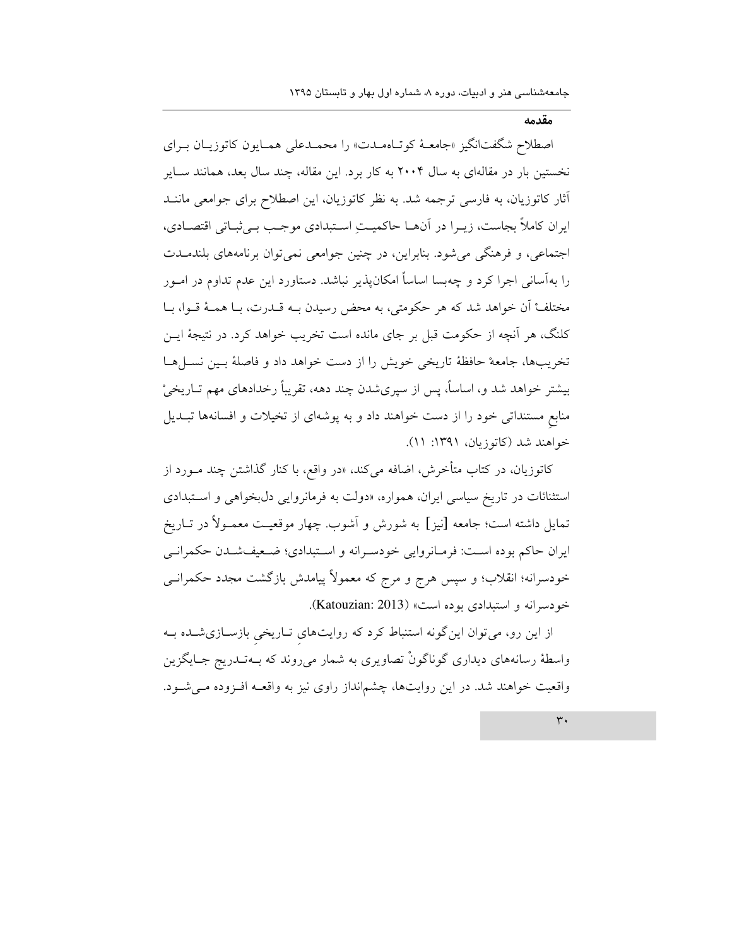مقدمه

اصطلاح شگفتانگیز «جامعـهٔ کوتـاهمـدت» را محمـدعلی همـایون کاتوزیـان بـرای نخستین بار در مقالهای به سال ۲۰۰۴ به کار برد. این مقاله، چند سال بعد، همانند سـایر آثار کاتوزیان، به فارسی ترجمه شد. به نظر کاتوزیان، این اصطلاح برای جوامعی ماننـد ايران كاملاً بجاست، زيـرا در آنهــا حاكميــتِ اسـتبدادي موجـب بــي ثبــاتي اقتصــادي. اجتماعی، و فرهنگی میشود. بنابراین، در چنین جوامعی نمیتوان برنامههای بلندمـدت را بهآسانی اجرا کرد و چهبسا اساساً امکانپذیر نباشد. دستاورد این عدم تداوم در امـور مختلف أن خواهد شد كه هر حكومتي، به محض رسيدن بـه قــدرت، بــا همــهٔ قــوا، بــا کلنگ، هر آنچه از حکومت قبل بر جای مانده است تخریب خواهد کرد. در نتیجهٔ ایــن تخريبها، جامعهْ حافظهٔ تاريخي خويش را از دست خواهد داد و فاصلهٔ بـين نسـلهـا بیشتر خواهد شد و، اساساً، پس از سپریشدن چند دهه، تقریباً رخدادهای مهم تــاریخیْ منابع مستنداتی خود را از دست خواهند داد و به پوشهای از تخیلات و افسانهها تبـدیل خواهند شد (کاتوزیان، ۱۳۹۱: ۱۱).

کاتوزیان، در کتاب متأخرش، اضافه م<sub>ی</sub>کند، «در واقع، با کنار گذاشتن چند مـورد از استثنائات در تاریخ سیاسی ایران، همواره، «دولت به فرمانروایی دلبخواهی و استبدادی تمایل داشته است؛ جامعه [نیز] به شورش و آشوب. چهار موقعیـت معمـولاً در تــاریخ ايران حاكم بوده است: فرمـانروايي خودسـرانه و اسـتبدادي؛ ضـعيفشـدن حكمرانـي خودسرانه؛ انقلاب؛ و سپس هرج و مرج که معمولاً پیامدش بازگشت مجدد حکمرانــی خودسرانه و استبدادي بوده است» (Katouzian: 2013).

از این رو، می توان این گونه استنباط کرد که روایتهای تــاریخی بازســازیشــده بــه واسطهٔ رسانههای دیداری گوناگونْ تصاویری به شمار میروند که بـهتـدریج جـایگزین واقعیت خواهند شد. در این روایتها، چشمانداز راوی نیز به واقعـه افـزوده مـیشـود.

 $\forall$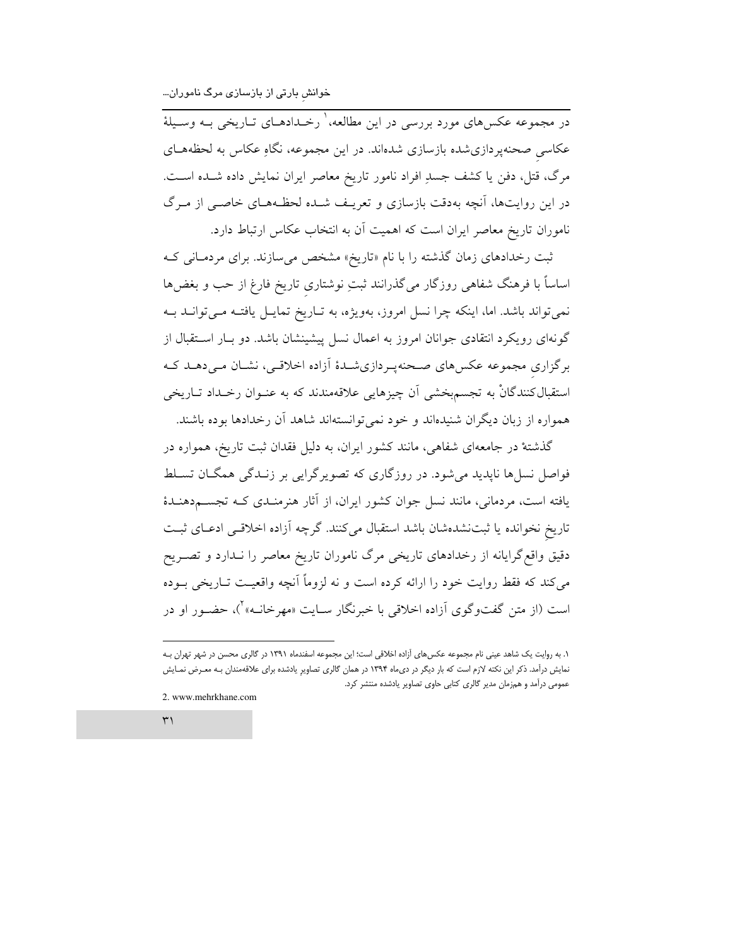در مجموعه عکسهای مورد بررسی در این مطالعه،' رخـدادهـای تــاریخی بــه وســیلهٔ عکاسی صحنهپردازیشده بازسازی شدهاند. در این مجموعه، نگاهِ عکاس به لحظههـای مرگ، قتل، دفن یا کشف جسدِ افراد نامور تاریخ معاصر ایران نمایش داده شـده اسـت. در این روایتها، آنچه بهدقت بازسازی و تعریـف شـده لحظـههـای خاصـی از مـرگ ناموران تاریخ معاصر ایران است که اهمیت آن به انتخاب عکاس ارتباط دارد.

ثبت رخدادهای زمان گذشته را با نام «تاریخ» مشخص می سازند. برای مردمـانی ک اساساً با فرهنگ شفاهی روزگار میگذرانند ثبتِ نوشتاری تاریخ فارغ از حب و بغضها نمی تواند باشد. اما، اینکه چرا نسل امروز، بهویژه، به تـاریخ تمایـل یافتـه مـیتوانــد بـه گونهای رویکرد انتقادی جوانان امروز به اعمال نسل پیشینشان باشد. دو بــار اســتقبال از برگزاری مجموعه عکسهای صحنهپردازیشـدهٔ أزاده اخلاقـی، نشـان مـیدهـد کـه استقبالکنندگانْ به تجسمبخشی اَن چیزهایی علاقهمندند که به عنــوان رخــداد تــاریخی همواره از زبان دیگران شنیدهاند و خود نمی توانستهاند شاهد آن رخدادها بوده باشند.

گذشتهٔ در جامعهای شفاهی، مانند کشور ایران، به دلیل فقدان ثبت تاریخ، همواره در فواصل نسلها نایدید می شود. در روزگاری که تصویر گرایی بر زنـدگی همگـان تسـلط یافته است، مردمانی، مانند نسل جوان کشور ایران، از آثار هنرمنـدی کـه تجســمدهنـدهٔ تاریخ نخوانده یا ثبتنشدهشان باشد استقبال میکنند. گرچه آزاده اخلاقی ادعای ثبت دقیق واقع گرایانه از رخدادهای تاریخی مرگ ناموران تاریخ معاصر را نــدارد و تصــریح می کند که فقط روایت خود را ارائه کرده است و نه لزوماً آنچه واقعیت تــاریخی بــوده است (از متن گفتوگوی اَزاده اخلاقی با خبرنگار ســایت «مهرخانــه»<sup>۲</sup>)، حضــور او در

2. www.mehrkhane.com

 $\mathsf{r}'$ 

١. به روایت یک شاهد عینی نام مجموعه عکس های آزاده اخلاقی است؛ این مجموعه اسفندماه ١٣٩١ در گالری محسن در شهر تهران بـه نمایش درآمد. ذکر این نکته لازم است که بار دیگر در دی.ماه ۱۳۹۴ در همان گالری تصاویرِ یادشده برای علاقهمندان بـه معـرض نمـایش عمومی درآمد و همزمان مدیر گالری کتابی حاوی تصاویر یادشده منتشر کرد.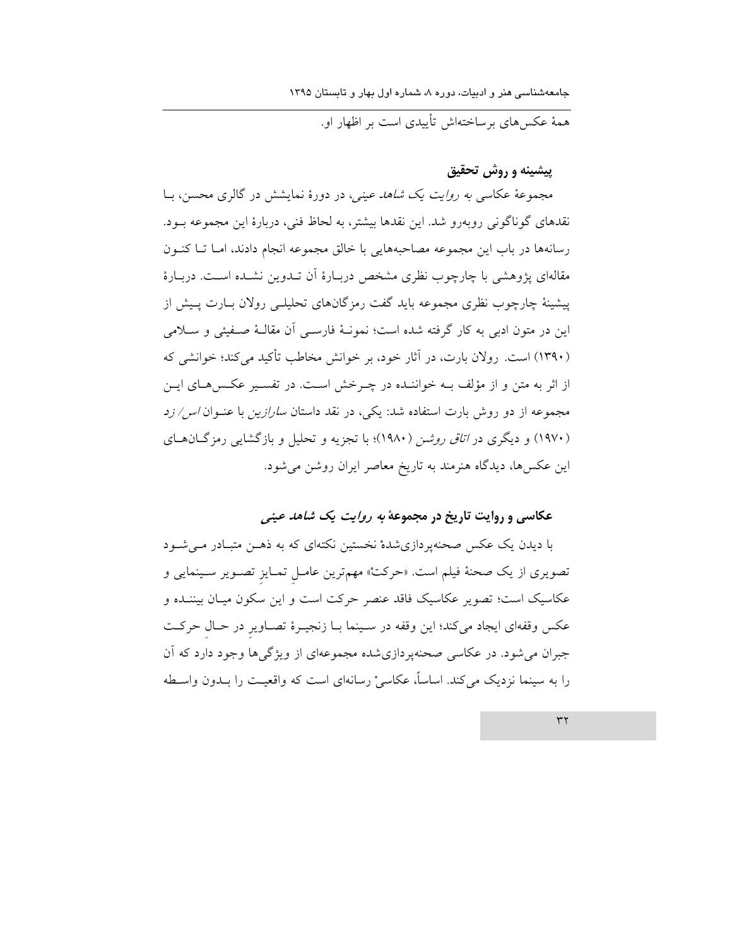همهٔ عکس های برساختهاش تأییدی است بر اظهار او.

پیشینه و روش تحقیق

مجموعهٔ عکاسی *به روایت یک شاهد عینی،* در دورهٔ نمایشش در گالری محسن، بـا نقدهای گوناگونی روبهرو شد. این نقدها بیشتر، به لحاظ فنی، دربارهٔ این مجموعه بـود. رسانهها در باب این مجموعه مصاحبههایی با خالق مجموعه انجام دادند، امـا تـا کنـون مقالهای پژوهشی با چارچوب نظری مشخص دربـارهٔ اَن تــدوین نشــده اســت. دربــارهٔ پیشینهٔ چارچوب نظری مجموعه باید گفت رمزگانهای تحلیلے رولان بـارت پـیش از اين در متون ادبي به كار گرفته شده است؛ نمونـهٔ فارسـي آن مقالـهٔ صـفيئي و سـلامي (۱۳۹۰) است. رولان بارت، در آثار خود، بر خوانش مخاطب تأكيد مي كند؛ خوانشي كه از اثر به متن و از مؤلف بـه خواننـده در چـرخش اسـت. در تفسـير عكـسهـاى ايـن مجموعه از دو روش بارت استفاده شد: یکی، در نقد داستان *سارازین* با عنــوان *اس/ زد* (۱۹۷۰) و دیگری در *اتاق روشن (۱۹۸۰*)؛ با تجزیه و تحلیل و بازگشایی رمزگان های این عکسها، دیدگاه هنرمند به تاریخ معاصر ایران روشن میشود.

### عکاسي و روايت تاريخ در مجموعهٔ *به روايت يک شاهد عيني*

با دیدن یک عکس صحنهپردازیشدهٔ نخستین نکتهای که به ذهــن متبــادر مــی شــود تصویری از یک صحنهٔ فیلم است. «حرکتْ» مهمترین عامـل تمـایز تصـویر سـینمایی و عکاسیک است؛ تصویر عکاسیک فاقد عنصر حرکت است و این سکون میـان بیننـده و عکس وقفهای ایجاد میکند؛ این وقفه در سینما بـا زنجیـرهٔ تصـاویر در حـال حرکـت جبران مي شود. در عكاسي صحنهير دازي شده مجموعهاي از ويژگي ها وجود دارد كه آن را به سینما نزدیک می کند. اساساً، عکاسیْ رسانهای است که واقعیت را بـدون واسـطه

 $\tau\tau$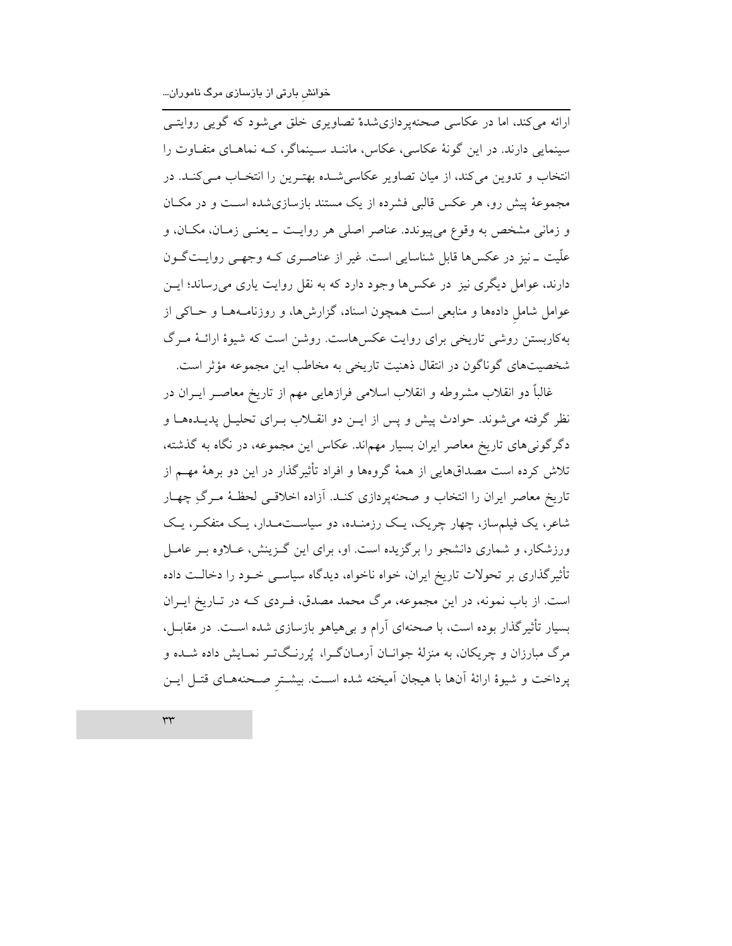ارائه میکند، اما در عکاسی صحنهپردازیشدهٔ تصاویری خلق میشود که گویی روایتبی سینمایی دارند. در این گونهٔ عکاسی، عکاس، ماننـد سـینماگر، کـه نماهـای متفـاوت را انتخاب و تدوین میکند، از میان تصاویر عکاسیشـده بهتـرین را انتخـاب مـیکنـد. در مجموعهٔ پیش رو، هر عکس قالبی فشرده از یک مستند بازسازی شده است و در مکـان و زمانی مشخص به وقوع میپیوندد. عناصر اصلی هر روایت ـ یعنـی زمـان، مکـان، و علّیت ۔نیز در عکسہا قابل شناسایی است. غیر از عناصری کـه وجهـی روایـتگـون دارند، عوامل دیگری نیز در عکسها وجود دارد که به نقل روایت یاری می رساند؛ ایــن عوامل شامل دادهها و منابعی است همچون اسناد، گزارشها، و روزنامـههـا و حـاکی از بهکاربستن روشی تاریخی برای روایت عکسهاست. روشن است که شیوهٔ ارائـهٔ مـرگ شخصیتهای گوناگون در انتقال ذهنیت تاریخی به مخاطب این مجموعه مؤثر است.

غالباً دو انقلاب مشروطه و انقلاب اسلامی فرازهایی مهم از تاریخ معاصــر ایــران در نظر گرفته می شوند. حوادث پیش و پس از ایـن دو انقــلاب بــرای تحلیـل پدیــدههــا و دگرگونیهای تاریخ معاصر ایران بسیار مهماند. عکاس این مجموعه، در نگاه به گذشته، تلاش کرده است مصداقهایی از همهٔ گروهها و افراد تأثیرگذار در این دو برههٔ مهــم از تاریخ معاصر ایران را انتخاب و صحنهپردازی کنـد. آزاده اخلاقـی لحظـهٔ مـرگِ چهـار شاعر، یک فیلم ساز، چهار چریک، یک رزمنـده، دو سیاسـتمـدار، یـک متفکـر، یـک ورزشکار، و شماری دانشجو را برگزیده است. او، برای این گـزینش، عـلاوه بـر عامـل تأثیرگذاری بر تحولات تاریخ ایران، خواه ناخواه، دیدگاه سیاســی خــود را دخالــت داده است. از باب نمونه، در این مجموعه، مرگ محمد مصدق، فـردی کـه در تـاریخ ایـران بسیار تأثیرگذار بوده است، با صحنهای آرام و بی هیاهو بازسازی شده اسـت. در مقابـل، مرگ مبارزان و چریکان، به منزلهٔ جوانــان آرمــانگــرا، پُررنــگـتــر نمــایش داده شــده و پرداخت و شیوهٔ ارائهٔ آنها با هیجان آمیخته شده است. بیشـتر صـحنههـای قتـل ایـن

 $rr$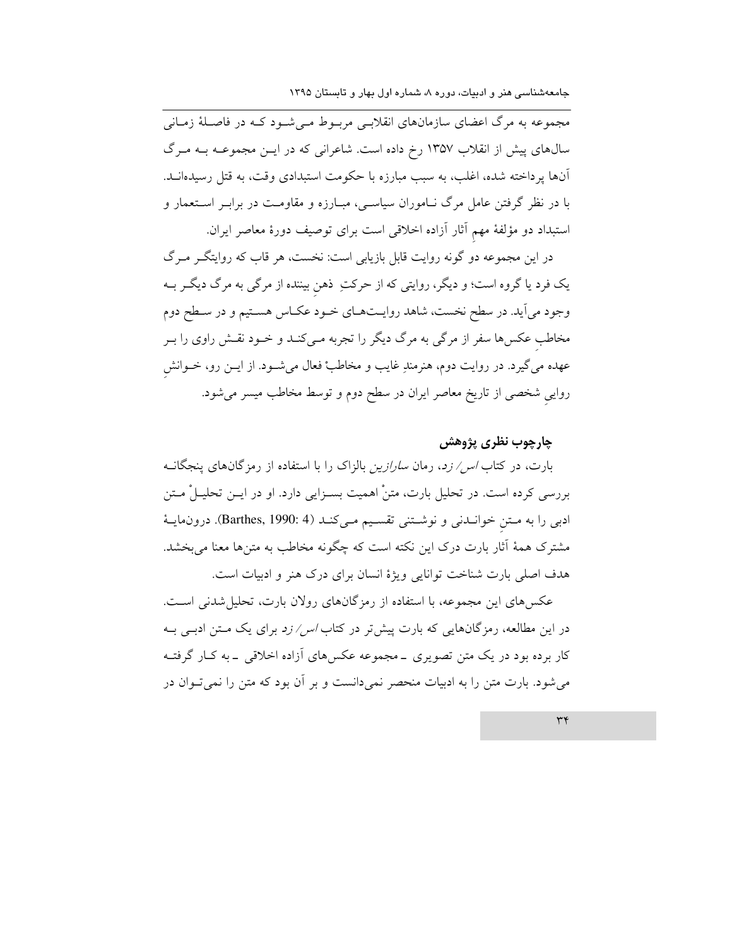مجموعه به مرگ اعضای سازمانهای انقلابسی مربـوط مـیشـود کـه در فاصـلهٔ زمـانی سالهای پیش از انقلاب ۱۳۵۷ رخ داده است. شاعرانی که در ایــن مجموعــه بــه مــرگ آنها پرداخته شده، اغلب، به سبب مبارزه با حکومت استبدادی وقت، به قتل رسیدهانــد. با در نظر گرفتن عامل مرگ نـاموران سیاسـی، مبـارزه و مقاومـت در برابـر اسـتعمار و استبداد دو مؤلفهٔ مهم آثار آزاده اخلاقی است برای توصیف دورهٔ معاصر ایران.

در این مجموعه دو گونه روایت قابل بازیابی است: نخست، هر قاب که روایتگـر مـرگ یک فرد یا گروه است؛ و دیگر، روایتی که از حرکتِ ذهن بیننده از مرگی به مرگ دیگـر بــه وجود می آید. در سطح نخست، شاهد روایـتهـای خـود عکـاس هسـتیم و در سـطح دوم مخاطب عکسها سفر از مرگی به مرگ دیگر را تجربه مـیکنـد و خــود نقـش راوی را بـر عهده میگیرد. در روایت دوم، هنرمندِ غایب و مخاطبْ فعال میشــود. از ایــن رو، خــوانش روایی شخصی از تاریخ معاصر ایران در سطح دوم و توسط مخاطب میسر میشود.

# چارچوب نظري پژوهش

بارت، در کتاب *اس/ زد*، رمان *سارازین* بالزاک را با استفاده از رمزگانهای پنجگانــه بررسی کرده است. در تحلیل بارت، متنْ اهمیت بســزایی دارد. او در ایــن تحلیــلْ مــتن ادبی را به متن خواندنی و نوشتنی تقسیم میکند (Barthes, 1990: 4). درون مایهٔ مشترک همهٔ اَثار بارت درک این نکته است که چگونه مخاطب به متن۵ا معنا میبخشد. هدف اصلي بارت شناخت توانايي ويژهٔ انسان براي درک هنر و ادبيات است.

عکسهای این مجموعه، با استفاده از رمزگانهای رولان بارت، تحلیل شدنی است. در این مطالعه، رمزگانهایی که بارت پیش تر در کتاب *اس/ زد* برای یک مـتن ادبـی بـه کار برده بود در یک متن تصویری ــ مجموعه عکسهای آزاده اخلاقی ــ به کــار گرفتــه می شود. بارت متن را به ادبیات منحصر نمیدانست و بر آن بود که متن را نمی توان در

 $\forall$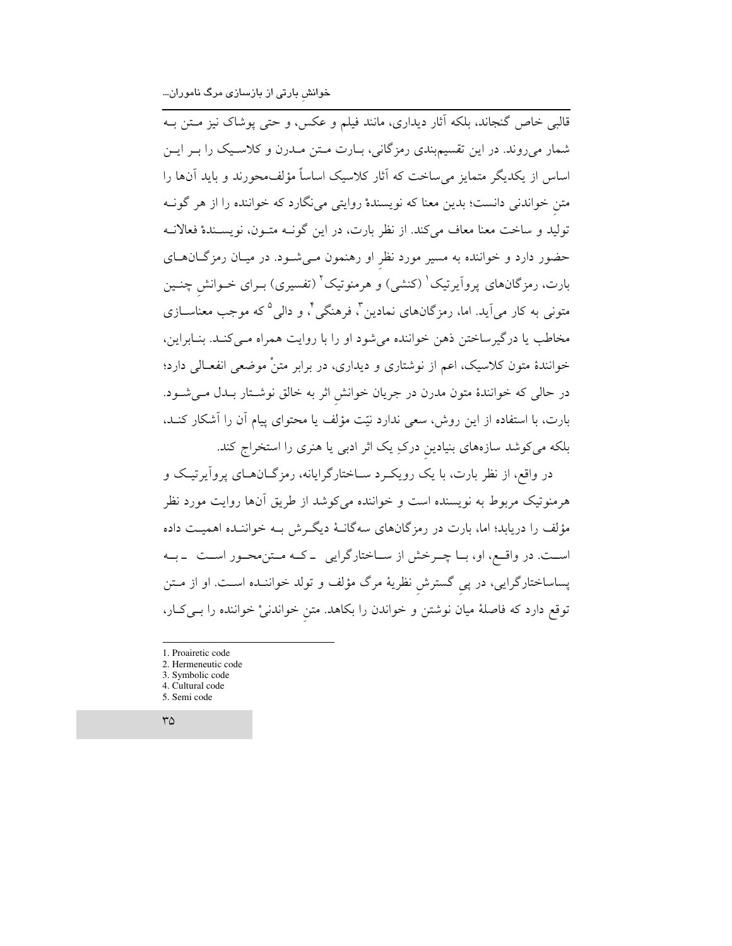۔<br>قالبی خاص گنجاند، بلکه آثار دیداری، مانند فیلم و عکس، و حتی پوشاک نیز مــتن بــه شمار میرووند. در این تقسیمبندی رمزگانی، بـارت مـتن مـدرن و کلاسـیک را بــر ایــن اساس از یکدیگر متمایز می ساخت که آثار کلاسیک اساساً مؤلف،حورند و باید آنها را متن خواندنی دانست؛ بدین معنا که نویسندهْ روایتی می $\mathcal{S}$ ارد که خواننده را از هر گونــه تولید و ساخت معنا معاف میکند. از نظر بارت، در این گونـه متـون، نویسـندهْ فعالانـه حضور دارد و خواننده به مسیر مورد نظر او رهنمون مـیشـود. در میـان رمزگـانهـای بارت، رمزگانهای پرواَیرتیک ْ (کنشی) و هرمنوتیک ْ (تفسیری) بــرای خــوانش چنــین متونی به کار می]ید. اما، رمزگانهای نمادین ؓ، فرهنگی ؓ، و دالی ٌ که موجب معناســازی مخاطب یا درگیرساختن ذهن خواننده میشود او را با روایت همراه مـی کنـد. بنـابراین، خوانندهٔ متون کلاسیک، اعم از نوشتاری و دیداری، در برابر متنْ موضعی انفعـالی دارد؛ در حالی که خوانندهٔ متون مدرن در جریان خوانش اثر به خالق نوشـتار بـدل مـیشـود. بارت، با استفاده از این روش، سعی ندارد نیّت مؤلف یا محتوای پیام آن را آشکار کنـد، بلکه میکوشد سازههای بنیادین درکِ یک اثر ادبی یا هنری را استخراج کند.

در واقع، از نظر بارت، با یک رویک د سـاختارگرایانه، رمزگــانهــای پروآیرتیــک و هرمنوتیک مربوط به نویسنده است و خواننده میکوشد از طریق آنها روایت مورد نظر مؤلف را دریابد؛ اما، بارت در رمزگانهای سهگانـهٔ دیگـرش بـه خواننـده اهمیـت داده است. در واقع، او، با چـرخش از سـاختارگرايي \_كـه مـتن، حور اسـت \_بـه پساساختارگرایی، در پی گسترش نظریهٔ مرگ مؤلف و تولد خواننـده اسـت. او از مــتن توقع دارد که فاصلهٔ میان نوشتن و خواندن را بکاهد. متن خواندنیْ خواننده را بــیکـار،

- 1. Proairetic code
- 2. Hermeneutic code
- 3. Symbolic code
- 4. Cultural code
- 5. Semi code
- $\mathsf{r}\mathsf{a}$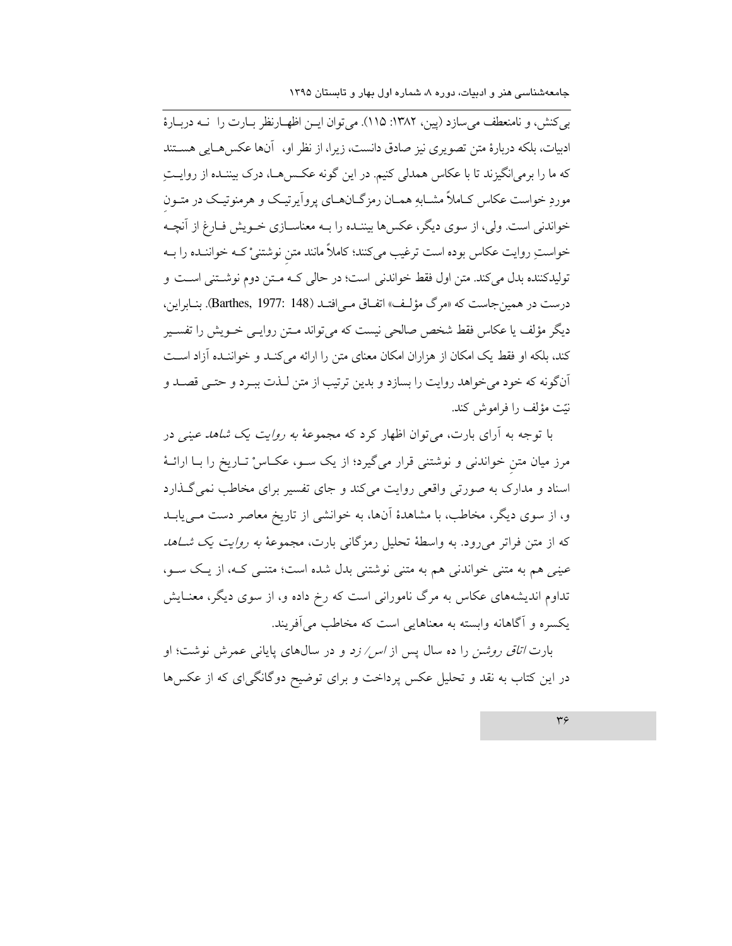به كنش، و نامنعطف مى سازد (يين، ١٣٨٢: ١١٥). مى توان ايـن اظهـارنظر بـارت را نـه دربـارهٔ ادبیات، بلکه دربارهٔ متن تصویری نیز صادق دانست، زیرا، از نظر او، ۖ اَنها عکسهـایی هســتند که ما را برمی|نگیزند تا با عکاس همدلی کنیم. در این گونه عکس هـا، درک بیننـده از روایـت موردِ خواست عکاس کـاملاً مشــابهِ همـان رمزگــانهــای پرواّیرتیـک و هرمنوتیـک در متــون خواندنی است. ولی، از سوی دیگر، عکسها بیننـده را بــه معناســازی خــویش فــارغ از آنچــه خواستِ روایت عکاس بوده است ترغیب میکنند؛ کاملاً مانند متن نوشتنیْ کـه خواننـده را بـه توليدكننده بدل مي كند. متن اول فقط خواندني است؛ در حالي كـه مـتن دوم نوشـتني اسـت و درست در همين جاست كه «مرگ مؤلف» اتفاق مـ افتـد (Barthes, 1977: 148). بنـابراين، دیگر مؤلف یا عکاس فقط شخص صالحی نیست که می تواند مــتن روایــی خــویش را تفســیر کند، بلکه او فقط یک امکان از هزاران امکان معنای متن را ارائه می کنـد و خواننـده آزاد اسـت آنگونه که خود می خواهد روایت را بسازد و بدین ترتیب از متن لـذت ببـرد و حتـی قصـد و نيّت مؤلف را فراموش كند.

با توجه به آرای بارت، میتوان اظهار کرد که مجموعهٔ *به روایت یک شاهد عینی* در مرز میان متن خواندنی و نوشتنی قرار میگیرد؛ از یک سو، عکـاسْ تـاریخ را بـا ارائـهٔ اسناد و مدارک به صورتی واقعی روایت میکند و جای تفسیر برای مخاطب نمی گذارد و، از سوی دیگر، مخاطب، با مشاهدهٔ آنها، به خوانشی از تاریخ معاصر دست مـیLیابـد که از متن فراتر میرود. به واسطهٔ تحلیل رمزگانی بارت، مجموعهٔ *به روایت یک شـاهد* عینبی هم به متنی خواندنی هم به متنی نوشتنی بدل شده است؛ متنبی کـه، از یـک سـو، تداوم اندیشههای عکاس به مرگ نامورانی است که رخ داده و، از سوی دیگر، معنـایش یکسره و آگاهانه وابسته به معناهایی است که مخاطب می آفریند.

بارت *اتاق روشن* را ده سال پس از *اس/ زد* و در سالهای پایانی عمرش نوشت؛ او در این کتاب به نقد و تحلیل عکس پرداخت و برای توضیح دوگانگیای که از عکسها

 $r\varsigma$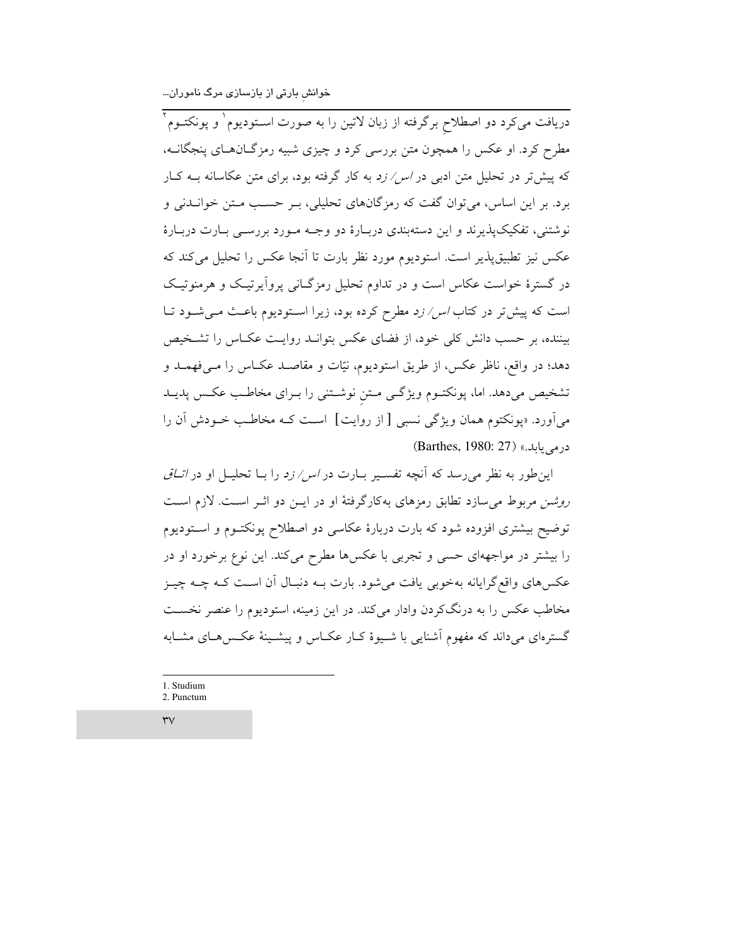دریافت میکرد دو اصطلاح برگرفته از زبان لاتین را به صورت اسـتودیوم` و پونکتــوم<sup>۲</sup> مطرح کرد. او عکس را همچون متن بررسی کرد و چیزی شبیه رمزگانهای پنجگانــه، که پیشتر در تحلیل متن ادب<sub>ی</sub> در *اس/ زد* به کار گرفته بود، برای متن عکاسانه بـه کـار برد. بر این اساس، می توان گفت که رمزگانهای تحلیلی، بـر حسـب مـتن خوانــدنی و نوشتني، تفکيک پذيرند و اين دستهبندي دربـارهٔ دو وجـه مـورد بررســي بـارت دربـارهٔ عکس نیز تطبیق پذیر است. استودیوم مورد نظر بارت تا آنجا عکس را تحلیل می کند که در گسترهٔ خواست عکاس است و در تداوم تحلیل رمزگـانی پروآیرتیـک و هرمنوتیـک است که پیش تر در کتاب *اس/ زد مطرح* کرده بود، زیرا اسـتودیوم باعـث مـیشـود تـا بیننده، بر حسب دانش کلی خود، از فضای عکس بتوانـد روایـت عکـاس را تشـخیص دهد؛ در واقع، ناظر عکس، از طریق استودیوم، نیّات و مقاصـد عکـاس را مـیفهمـد و تشخیص میدهد. اما، پونکتـوم ویژگـی مـتن نوشـتنی را بـرای مخاطـب عکـس پدیــد می آورد. «پونکتوم همان ویژگی نسبی [ از روایت] است کـه مخاطـب خــودش آن را درمی یابله.» (Barthes, 1980: 27)

این طور به نظر می رسد که آنچه تفسیر بیارت در *اس/ زد* را بیا تحلیبل او در *اتیاق* روشن مربوط می سازد تطابق رمزهای به کارگرفتهٔ او در ایـن دو اثـر اسـت. لازم اسـت توضیح بیشتری افزوده شود که بارت دربارهٔ عکاسی دو اصطلاح پونکتـوم و اسـتودیوم را بیشتر در مواجههای حسی و تجربی با عکسها مطرح میکند. این نوع برخورد او در عکسهای واقع گرایانه بهخوبی یافت میشود. بارت بـه دنبـال آن اسـت کـه چـه چیـز مخاطب عکس را به درنگکردن وادار میکند. در این زمینه، استودیوم را عنصر نخست گسترهای میرداند که مفهوم آشنایی با شـیوهٔ کـار عکـاس و پیشـینهٔ عکـس هـای مشـابه

1. Studium 2. Punctum

 $\forall v$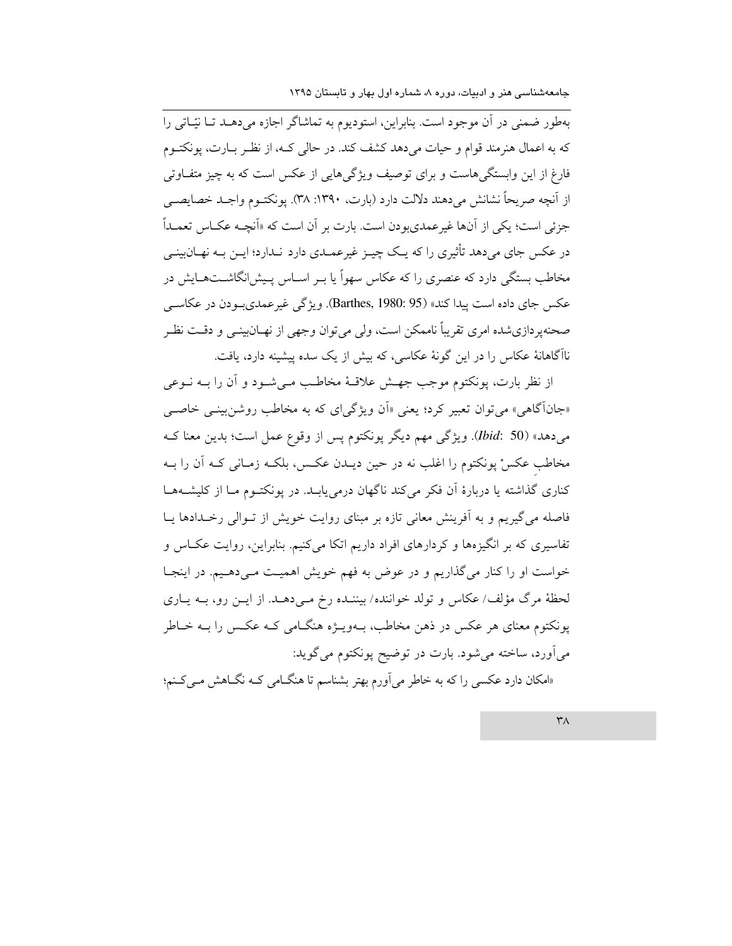بهطور ضمنی در آن موجود است. بنابراین، استودیوم به تماشاگر اجازه میدهـد تـا نیّـاتی را که به اعمال هنرمند قوام و حیات می دهد کشف کند. در حالی کـه، از نظـر بــارت، یونکتــوم فارغ از این وابستگی۵هاست و برای توصیف ویژگی۵ایی از عکس است که به چیز متفـاوتی از اّنچه صريحاً نشانش مي<هند دلالت دارد (بارت، ١٣٩٠: ٣٨). يونكتــوم واجــد خصايصــي جزئي است؛ يكي از آنها غيرعمدي ودن است. بارت بر آن است كه «آنچــه عكــاس تعمــداً در عکس جای میدهد تأثیری را که یـک چیـز غیرعمـدی دارد نـدارد؛ ایـن بـه نهــانıپینـی مخاطب بستگی دارد که عنصری را که عکاس سهواً یا بـر اسـاس پـیش(نگاشــتهــایش در عکس جای داده است پیدا کند» (Barthes, 1980: 95). ویژگی غیر عمدیب دن در عکاسبی صحنهیر دازی شده امری تقریباً ناممکن است، ولی می توان وجهی از نهــان(پینــی و دقــت نظـر ناآگاهانهٔ عکاس را در این گونهٔ عکاسی، که بیش از یک سده پیشینه دارد، یافت.

از نظر بارت، پونکتوم موجب جهـش علاقـهٔ مخاطـب مـیشـود و آن را بــه نــوعی «جانآگاهی» می توان تعبیر کرد؛ یعنی «اَن ویژگیای که به مخاطب روشن بینسی خاصب مي دهد» (Ibid: 50). ويژگي مهم ديگر پونكتوم پس از وقوع عمل است؛ بدين معنا ك مخاطب عکسْ پونکتوم را اغلب نه در حین دیــدن عکــس، بلکــه زمــانی کــه آن را بــه کناری گذاشته یا دربارهٔ آن فکر میکند ناگهان درمییابـد. در پونکتـوم مـا از کلیشــهمـا فاصله میگیریم و به آفرینش معانی تازه بر مبنای روایت خویش از تـوالی رخـدادها یـا تفاسیری که بر انگیزهها و کردارهای افراد داریم اتکا میکنیم. بنابراین، روایت عکـاس و خواست او را کنار میگذاریم و در عوض به فهم خویش اهمیت مـیدهـیم. در اینجـا لحظهٔ مرگ مؤلف/ عکاس و تولد خواننده/ بیننـده رخ مـیدهـد. از ایـن رو، بــه پــاری پونکتوم معنای هر عکس در ذهن مخاطب، بـهویــژه هنگــامی کــه عکــس را بــه خــاطر می آورد، ساخته می شود. بارت در توضیح پونکتوم می گوید:

«امکان دارد عکسی را که به خاطر می آورم بهتر بشناسم تا هنگامی کـه نگـاهش مـیکـنم؛

 $\mathsf{r}_\Lambda$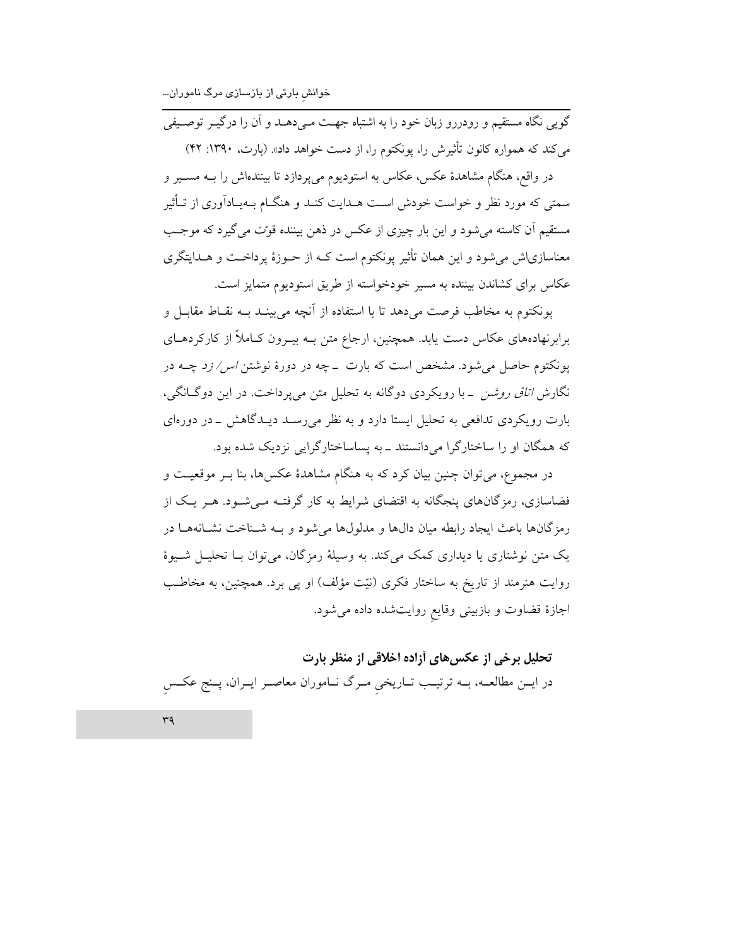خوانش بارتی از بازسازی مرگ ناموران...

گویی نگاه مستقیم و رودررو زبان خود را به اشتباه جهـت مـیدهــد و آن را درگیــر توصــیفی می کند که همواره کانون تأثیرش را، یونکتوم را، از دست خواهد داد». (بارت، ۱۳۹۰: ۴۲)

در واقع، هنگام مشاهدهٔ عکس، عکاس به استودیوم میپردازد تا بینندهاش را بـه مسـیر و سمتی که مورد نظر و خواست خودش است هــدایت کنــد و هنگــام بــهـیــادآوری از تــأثیر مستقيم اَن کاسته مي شود و اين بار چيزي از عکس در ذهن بيننده قوّت مي گيرد که موجـب معناسازیاش می شود و این همان تأثیر یونکتوم است کـه از حـوزهٔ پرداخـت و هــدایتگری عکاس برای کشاندن بیننده به مسیر خودخواسته از طریق استودیوم متمایز است.

يونكتوم به مخاطب فرصت مى دهد تا با استفاده از آنچه مى بينـد بــه نقــاط مقابــل و برابرنهادههای عکاس دست یابد. همچنین، ارجاع متن بــه بیــرون کــاملاً از کارکردهــای یونکتوم حاصل می شود. مشخص است که بارت \_چه در دورهٔ نوشتن *اس/ زد چــه د*ر نگارش *اتاق روشن* \_با رویکردی دوگانه به تحلیل متن میپرداخت. در این دوگانگی، بارت رویکردی تدافعی به تحلیل ایستا دارد و به نظر می رسـد دیـدگاهش \_در دورهای که همگان او را ساختارگرا میدانستند ـ به پساساختارگرایی نزدیک شده بود.

در مجموع، مي توان چنين بيان كرد كه به هنگام مشاهدهٔ عكس ها، بنا بــر موقعيــت و فضاسازی، رمزگانهای پنجگانه به اقتضای شرایط به کار گرفتـه مـی شـود. هـر یـک از رمزِ گانها باعث ايجاد رابطه ميان دالها و مدلولها مي شود و بــه شــناخت نشــانههــا در یک متن نوشتاری یا دیداری کمک می کند. به وسیلهٔ رمزگان، می توان بــا تحلیــل شــیوهٔ روایت هنرمند از تاریخ به ساختار فکری (نیّت مؤلف) او پی برد. همچنین، به مخاطب اجازهٔ قضاوت و بازبینی وقایع روایتشده داده میشود.

# تحلیل برخی از عکسهای آزاده اخلاقی از منظر بارت

در ایــن مطالعــه، بــه ترتیــب تــاریخی مــرگ نــاموران معاصــر ایــران، پــنج عکــس

 $r<sub>q</sub>$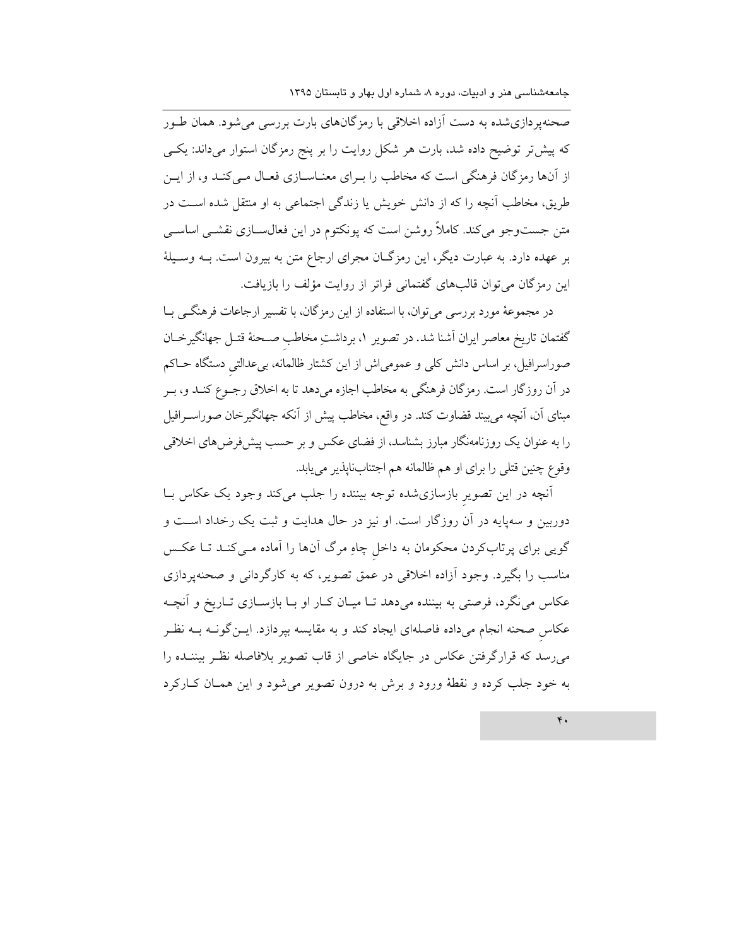صحنهپردازیشده به دست آزاده اخلاقی با رمزگانهای بارت بررسی میشود. همان طـور که پیش تر توضیح داده شد، بارت هر شکل روایت را بر پنج رمزگان استوار میداند: یکی از آنها رمزگان فرهنگی است که مخاطب را بـرای معنـاسـازی فعـال مـیکنـد و، از ایـن طریق، مخاطب آنچه را که از دانش خویش یا زندگی اجتماعی به او منتقل شده است در متن جستوجو میکند. کاملاً روشن است که پونکتوم در این فعال سازی نقشـی اساسـی بر عهده دارد. به عبارت دیگر، این رمزگـان مجرای ارجاع متن به بیرون است. بـه وسـیلهٔ این رمزگان میتوان قالبهای گفتمانی فراتر از روایت مؤلف را بازیافت.

در مجموعهٔ مورد بررسی میتوان، با استفاده از این رمزگان، با تفسیر ارجاعات فرهنگـی بــا گفتمان تاریخ معاصر ایران آشنا شد. در تصویر ۱، برداشتِ مخاطب صـحنهٔ قتـل جهانگیرخــان صوراسرافیل، بر اساس دانش کلی و عمومیاش از این کشتار ظالمانه، بیعدالتی دستگاه حـاکم در آن روزگار است. رمزگان فرهنگی به مخاطب اجازه میدهد تا به اخلاق رجـوع کنـد و، بـر مبنای آن، آنچه می بیند قضاوت کند. در واقع، مخاطب پیش از آنکه جهانگیرخان صوراســرافیل را به عنوان یک روزنامهنگار مبارز بشناسد، از فضای عکس و بر حسب پیشفرضهای اخلاقی وقوع چنین قتلی را برای او هم ظالمانه هم اجتنابناپذیر می یابد.

أنچه در این تصویر بازسازی شده توجه بیننده را جلب میکند وجود یک عکاس بـا دوربین و سهپایه در آن روزگار است. او نیز در حال هدایت و ثبت یک رخداد است و گویی برای پرتابکردن محکومان به داخل چاو مرگ آنها را آماده مـیکنـد تـا عکـس مناسب را بگیرد. وجود آزاده اخلاقی در عمق تصویر، که به کارگردانی و صحنهپردازی عکاس می نگرد، فرصتی به بیننده میدهد تـا میـان کـار او بـا بازسـازی تـاریخ و آنچــه عکاس صحنه انجام میداده فاصلهای ایجاد کند و به مقایسه بپردازد. ایــنگونــه بــه نظـر می رسد که قرارگرفتن عکاس در جایگاه خاصی از قاب تصویر بلافاصله نظر بیننـده را به خود جلب کرده و نقطهٔ ورود و برش به درون تصویر می شود و این همـان کـارکرد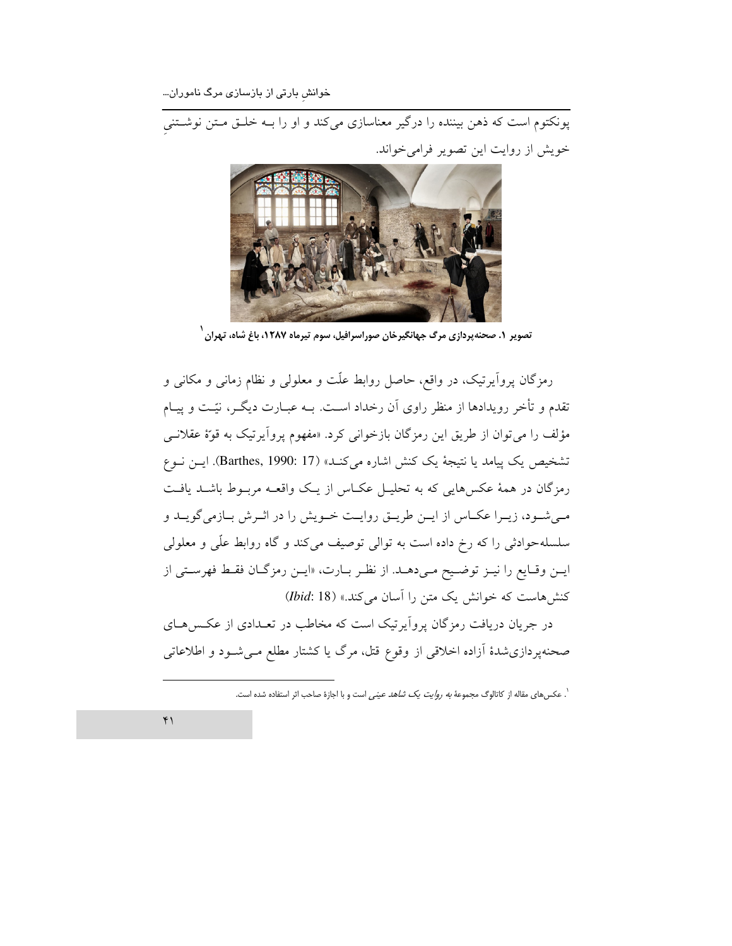خوانش بارتی از بازسازی مرگ ناموران...

خويش از روايت اين تصوير فرامي خواند.



۔<br>تصویر ۱. صحنهپردازی مرگ جهانگیرخان صوراسرافیل، سوم تیرماه ۱۲۸۷، باغ شاه، تهران

رمزگان پرواَپرتیک، در واقع، حاصل روابط علّت و معلولی و نظام زمانی و مکانی و تقدم و تأخر رویدادها از منظر راوی آن رخداد اسـت. بــه عبــارت دیگــر، نیّــت و پیــام مؤلف را می توان از طریق این رمزگان بازخوانی کرد. «مفهوم پروآیرتیک به قوهٔ عقلانـی تشخيص يك پيامد يا نتيجة يك كنش اشاره مي كنـد» (Barthes, 1990: 17). ايــن نــوع رمزگان در همهٔ عکسهایی که به تحلیـل عکـاس از یـک واقعـه مربـوط باشـد یافـت می شود، زیـرا عکـاس از ایـن طریـق روایـت خـویش را در اثـرش بـازمی گویـد و سلسلهحوادثی را که رِخ داده است به توالی توصیف میکند و گاه روابط علّی و معلولی ايـن وقـايع را نيـز توضـيح مـى‹هـد. از نظـر بـارت، «ايـن رمزگـان فقـط فهرسـتى از کنش هاست که خوانش یک متن را آسان می کند.» (Ibid: 18)

در جریان دریافت رمزگان پروآیرتیک است که مخاطب در تعـدادی از عکـس۵هـای صحنهپردازی شدهٔ آزاده اخلاقی از وقوع قتل، مرگ یا کشتار مطلع مـی شـود و اطلاعاتی

`. عکس های مقاله از کاتالوگ مجموعهٔ *به روایت یک شاهد عینی ا*ست و با اجازهٔ صاحب اثر استفاده شده است.

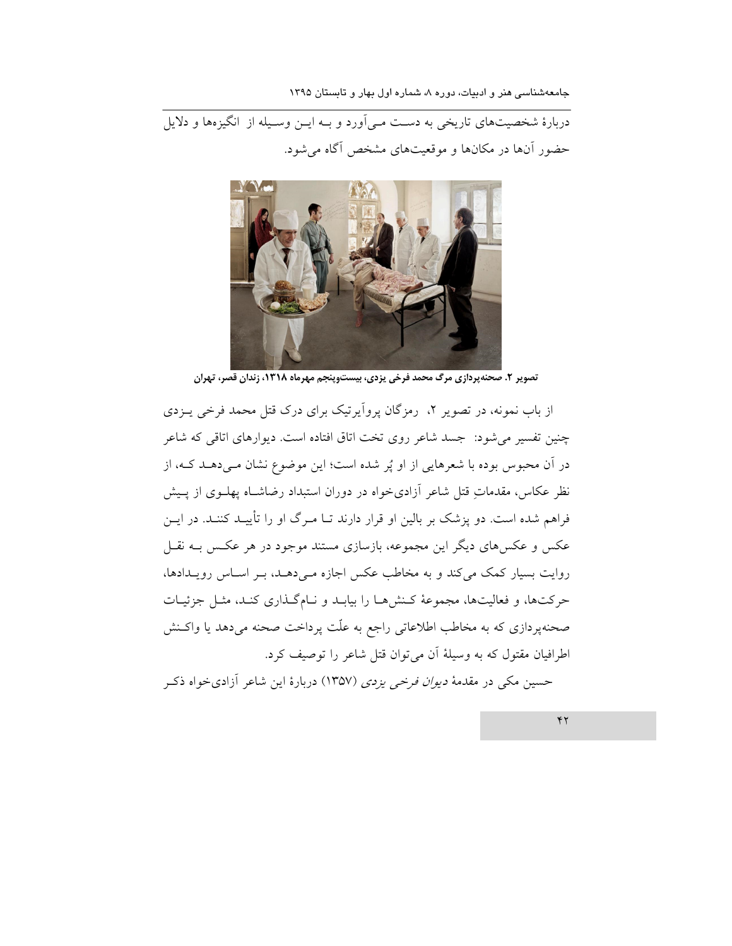دربارهٔ شخصیتهای تاریخی به دست مـی آورد و بـه ایـن وسـیله از انگیزهها و دلایل حضور آنها در مکانها و موقعیتهای مشخص آگاه می شود.



تصویر ۲. صحنهپردازی مرگ محمد فرخی یزدی، بیستوپنجم مهرماه ۱۳۱۸، زندان قصر، تهران

از باب نمونه، در تصویر ۲، رمزگان پروآیرتیک برای درک قتل محمد فرخی پــزدی چنین تفسیر می شود: جسد شاعر روی تخت اتاق افتاده است. دیوارهای اتاقی که شاعر در آن محبوس بوده با شعرهایی از او پُر شده است؛ این موضوع نشان مـیدهـد کـه، از نظر عکاس، مقدماتِ قتل شاعر أزادیخواه در دوران استبداد رضاشـاه پهلــوی از پــیش فراهم شده است. دو پزشک بر بالین او قرار دارند تــا مـرگ او را تأییــد کننــد. در ایــن عکس و عکسهای دیگر این مجموعه، بازسازی مستند موجود در هر عکس بـه نقـل روایت بسیار کمک میکند و به مخاطب عکس اجازه میدهـد، بـر اسـاس رویـدادها، حركتها، و فعاليتها، مجموعهٔ كـنشرهـا را بيابـد و نـامگـذارى كنـد، مثـل جزئيـات صحنهپردازی که به مخاطب اطلاعاتی راجع به علّت پرداخت صحنه میٖدهد یا واکـنش اطرافیان مقتول که به وسیلهٔ آن می توان قتل شاعر را توصیف کرد.

حسین مکی در مقدمهٔ *دیوان فرخی یزدی* (۱۳۵۷) دربارهٔ این شاعر آزادیخواه ذک

 $YY$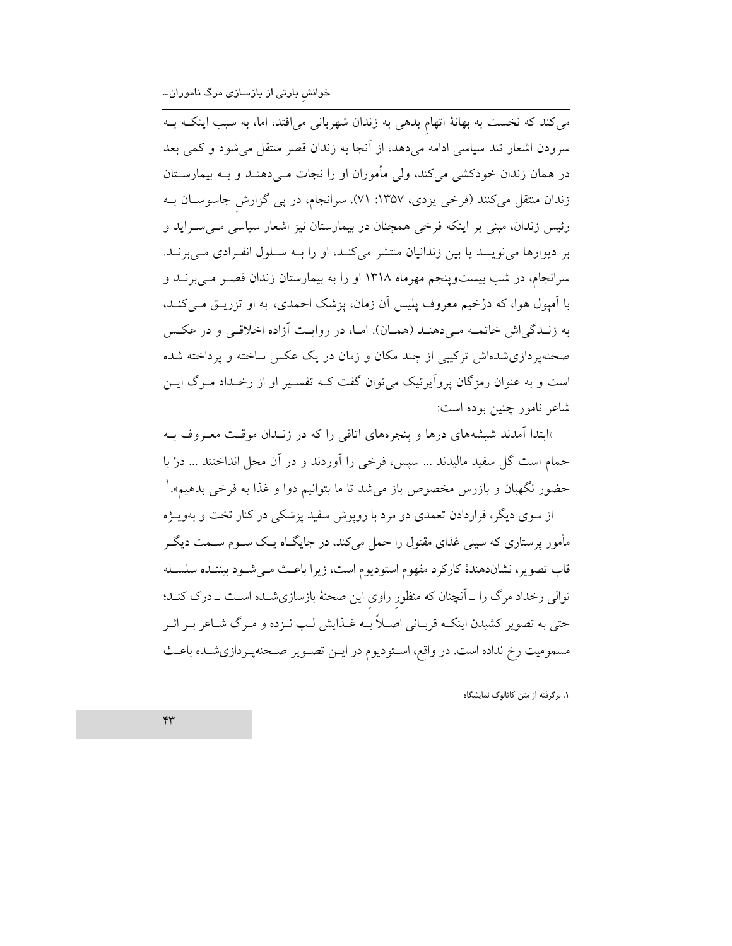می کند که نخست به بهانهٔ اتهام بدهی به زندان شهربانی میافتد، اما، به سبب اینکــه بــه سرودن اشعار تند سیاسی ادامه میدهد، از آنجا به زندان قصر منتقل میشود و کمی بعد در همان زندان خودکشی میکند، ولی مأموران او را نجات مـیدهنـد و بـه بیمارسـتان زندان منتقل میکنند (فرخی یزدی، ۱۳۵۷: ۷۱). سرانجام، در پی گزارش جاسوسـان بـه رئیس زندان، مبنی بر اینکه فرخی همچنان در بیمارستان نیز اشعار سیاسی مے سـراید و بر دیوارها می نویسد یا بین زندانیان منتشر می کنـد، او را بـه سـلول انفـرادی مـی برنـد. سرانجام، در شب بیستوینجم مهرماه ۱۳۱۸ او را به بیمارستان زندان قصـر مـیبرنــد و با اَمیول هوا، که دژخیم معروف پلیس اَن زمان، پزشک احمدی، به او تزریــق مــیکنــد، به زنـدگی اش خاتمـه مـی دهنـد (همـان). امـا، در روايـت آزاده اخلاقـی و در عكـس صحنهیر دازی شدهاش ترکیبی از چند مکان و زمان در یک عکس ساخته و یرداخته شده است و به عنوان رمزگان پروآیرتیک میتوان گفت کـه تفسـیر او از رخـداد مـرگ ایـن شاعر نامور چنین بوده است:

«ابتدا آمدند شیشههای درها و پنجرههای اتاقی را که در زنـدان موقـت معــروف بــه حمام است گل سفید مالیدند ... سپس، فرخی را آوردند و در آن محل انداختند ... درْ با حضور نگهبان و بازرس مخصوص باز می شد تا ما بتوانیم دوا و غذا به فرخی بدهیم». `

از سوی دیگر، قراردادن تعمدی دو مرد با رویوش سفید پزشکی در کنار تخت و بهویــژه مأمور پرستاری که سینی غذای مقتول را حمل میکند، در جایگــاه یــک ســوم ســمت دیگــر قاب تصوير، نشاندهندهٔ كاركرد مفهوم استوديوم است، زيرا باعـث مـىشـود بيننـده سلسـله توالی رخداد مرگ را ــ اَنچنان که منظور راوی این صحنهٔ بازسازیشــده اســت ــ درک کنــد؛ حتی به تصویر کشیدن اینکـه قربـانی اصـلاً بـه غـذایش لـب نــزده و مــرگ شــاعر بــر اثــر مسمومیت رخ نداده است. در واقع، اسـتودیوم در ایــن تصــویر صــحنهپــردازیشــده باعــث

۰۱. برگرفته از متن کاتالوگ نمایشگاه

 $\mathsf{r}\mathsf{r}$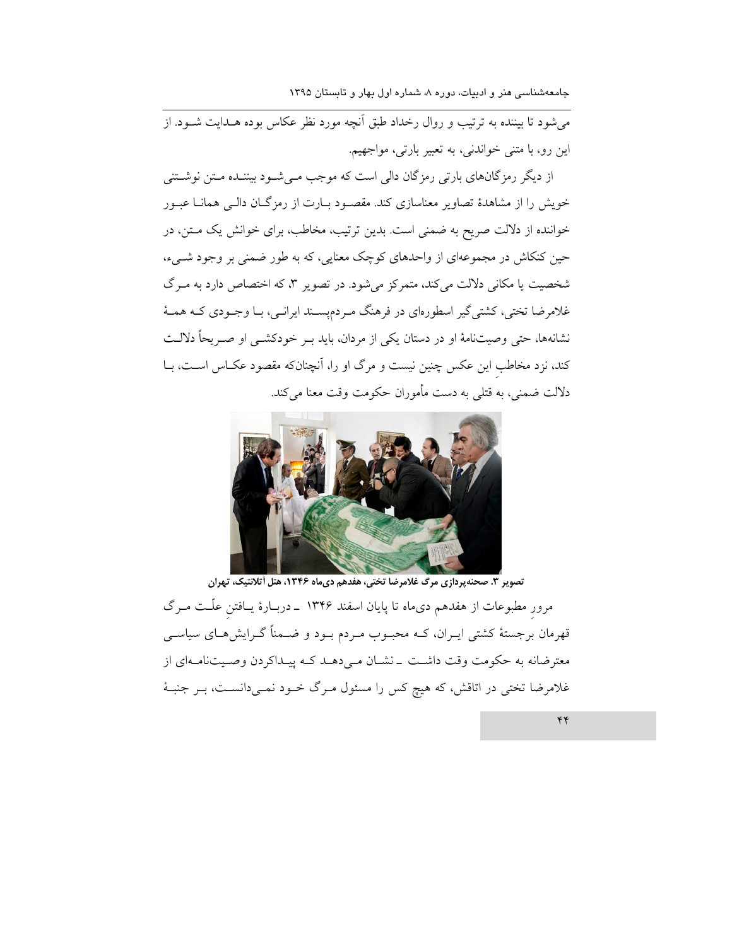می شود تا بیننده به ترتیب و روال رخداد طبق اَنچه مورد نظر عکاس بوده هــدایت شــود. از این رو، با متنی خواندنی، به تعبیر بارتی، مواجهیم.

از دیگر رمزگانهای بارتی رمزگان دالی است که موجب مـیشـود بیننـده مـتن نوشـتنی خویش را از مشاهدهٔ تصاویر معناسازی کند. مقصـود بـارت از رمزگـان دالـی همانـا عبـور خواننده از دلالت صریح به ضمنی است. بدین ترتیب، مخاطب، برای خوانش یک مـتن، در حین کنکاش در مجموعهای از واحدهای کوچک معنایی، که به طور ضمنی بر وجود شــیء، شخصیت یا مکانی دلالت میکند، متمرکز میشود. در تصویر ۳، که اختصاص دارد به مـرگ غلامرضا تختی، کشتی گیر اسطورهای در فرهنگ مردمپسـند ایرانـی، بـا وجـودی کـه همـهٔ نشانهها، حتى وصيتنامهٔ او در دستان يكي از مردان، بايد بـر خودكشـي او صـريحاً دلالـت کند، نزد مخاطب این عکس چنین نیست و مرگ او را، آنچنانکه مقصود عکـاس اسـت، بـا دلالت ضمني، به قتلي به دست مأموران حكومت وقت معنا ميكند.



.<br>تصویر ۳. صحنهپردازی مرگ غلامرضا تختی، هفدهم دیماه ۱۳۴۶، هتل آتلانتیک، تهران مرور مطبوعات از هفدهم دیماه تا پایان اسفند ۱۳۴۶ ــ دربـارهٔ یــافتن علّــت مــرگ قهرمان برجستهٔ کشتی ایــران، کــه محبــوب مــردم بــود و ضـــمناً گــرایش۵حـای سیاســی معترضانه به حکومت وقت داشت \_نشان مـىدهـد کـه پيـداکردن وصـيتنامـهاى از غلامرضا تختی در اتاقش، که هیچ کس را مسئول مـرگ خــود نمــیدانســت، بــر جنبــهٔ

 $\overline{\mathbf{y}}$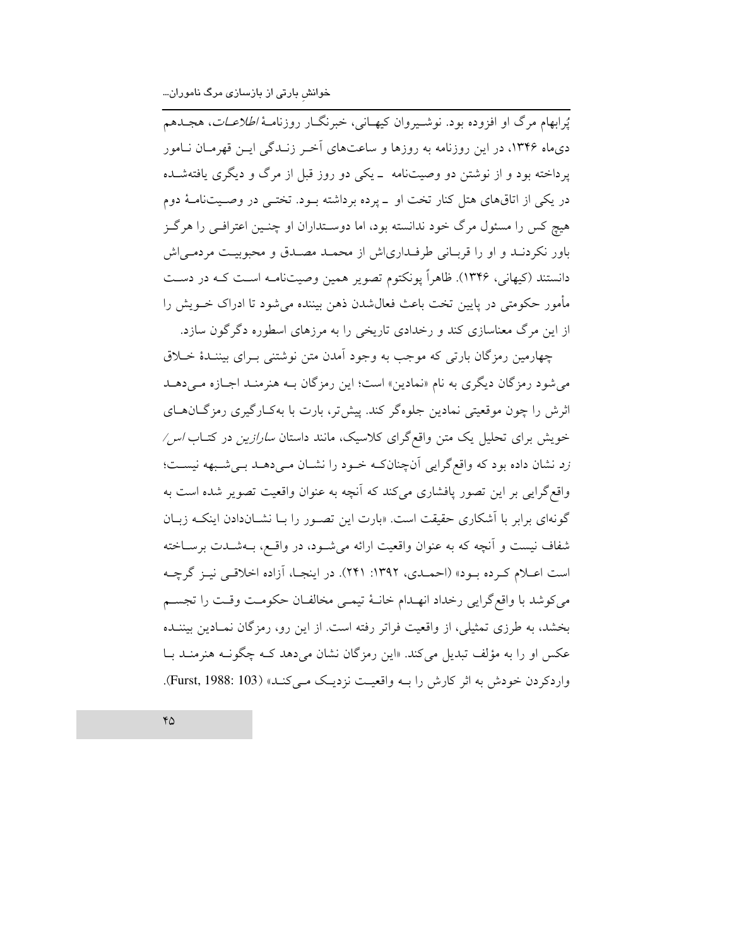يُرابهام مرگ او افزوده بود. نوشـيروان كيهـاني، خبرنگــار روزنامــهٔ *اطلاعــات*، هجــدهم دی.ماه ۱۳۴۶، در این روزنامه به روزها و ساعتهای آخـر زنـدگی ایــن قهرمــان نــامور پرداخته بود و از نوشتن دو وصیتنامه \_یکی دو روز قبل از مرگ و دیگری یافتهشـده در یکی از اتاقهای هتل کنار تخت او \_پرده برداشته بود. تختـی در وصـیتنامـهٔ دوم هیچ کس را مسئول مرگ خود ندانسته بود، اما دوسـتداران او چنـین اعترافـی را هرگـز باور نکردنـد و او را قربـاني طرفـدارياش از محمـد مصـدق و محبوبيـت مردمـي|ش دانستند (کیهانی، ۱۳۴۶). ظاهراً یونکتوم تصویر همین وصیتنامـه اسـت کـه در دسـت مأمور حکومتی در پایین تخت باعث فعالشدن ذهن بیننده می شود تا ادراک خـویش را از این مرگ معناسازی کند و رخدادی تاریخی را به مرزهای اسطوره دگر گون سازد.

چهارمین رمزگان بارتی که موجب به وجود آمدن متن نوشتنی بـرای بیننـدهٔ خــلاق می شود رمزگان دیگری به نام «نمادین» است؛ این رمزگان بـه هنرمنـد اجـازه مـیدهـد اثرش را چون موقعیتی نمادین جلوهگر کند. پیشتر، بارت با بهکـارگیری رمزگــانهــای خویش برای تحلیل یک متن واقع گرای کلاسیک، مانند داستان *سارازین* در کتـاب *اس/* رد نشان داده بود که واقع گرایی آنچنانکه خود را نشان میدهد بهیشبهه نیست؛ واقع گرایی بر این تصور پافشاری میکند که آنچه به عنوان واقعیت تصویر شده است به گونهای برابر با آشکاری حقیقت است. «بارت این تصـور را بــا نشــاندادن اینکــه زبــان شفاف نیست و آنچه که به عنوان واقعیت ارائه میشود، در واقـع، بــهشــدت برســاخته است اعلام كرده بود» (احملدي، ١٣٩٢: ٢۴١). در اينجـا، آزاده اخلاقـي نيـز گرچـه مى كوشد با واقع گرايى رخداد انهـدام خانــهٔ تيمــى مخالفــان حكومـت وقـت را تجســم بخشد، به طرزی تمثیلی، از واقعیت فراتر رفته است. از این رو، رمزگان نمـادین بیننـده عکس او را به مؤلف تبدیل می کند. «این رمزگان نشان می دهد کـه چگونـه هنرمنـد بـا واردکردن خودش به اثر کارش را بـه واقعیـت نزدیـک مـی کنـد» (Furst, 1988: 103).

 $\mathfrak{r}_\Delta$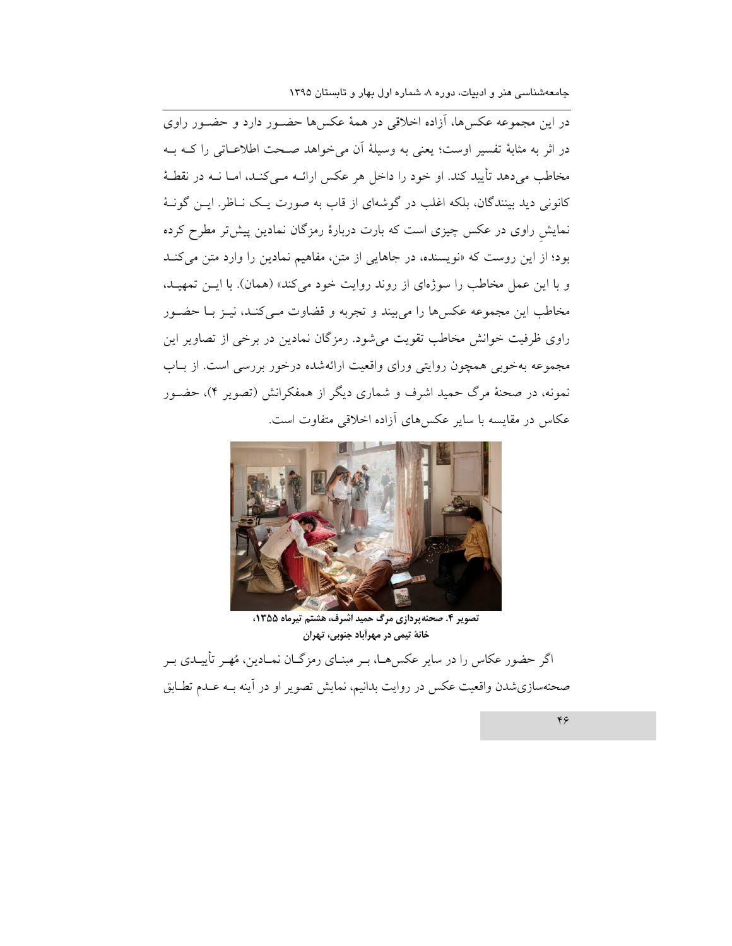در این مجموعه عکسها، آزاده اخلاقی در همهٔ عکسها حضـور دارد و حضـور راوی در اثر به مثابهٔ تفسیر اوست؛ یعنی به وسیلهٔ آن می خواهد صحت اطلاعـاتی را کــه بــه مخاطب می دهد تأیید کند. او خود را داخل هر عکس ارائــه مــی کنــد، امــا نــه در نقطــهٔ کانونی دید بینندگان، بلکه اغلب در گوشهای از قاب به صورت یک نـاظر. ایـن گونـهٔ نمایش راوی در عکس چیزی است که بارت دربارهٔ رمزگان نمادین پیش تر مطرح کرده بود؛ از این روست که «نویسنده، در جاهایی از متن، مفاهیم نمادین را وارد متن می کنـد و با این عمل مخاطب را سوژهای از روند روایت خود می کند» (همان). با ایـن تمهیـد، مخاطب این مجموعه عکسها را می بیند و تجربه و قضاوت مـیکنـد، نیـز بـا حضـور راوی ظرفیت خوانش مخاطب تقویت می شود. رمزگان نمادین در برخی از تصاویر این مجموعه بهخوبی همچون روایتی ورای واقعیت ارائهشده درخور بررسی است. از بـاب نمونه، در صحنهٔ مرگ حمید اشرف و شماری دیگر از همفکرانش (تصویر ۴)، حضـور عکاس در مقایسه با سایر عکس های آزاده اخلاقی متفاوت است.



تصوير 4. صحنهپردازي مرگ حميد اشرف، هشتم تيرماه 1355، خانهٔ تیمی در مهرآباد جنوبی، تهران

اگر حضور عکاس را در سایر عکسهـا، بـر مبنـای رمزگـان نمـادین، مُهـر تأییـدی بـر صحنهسازي شدن واقعيت عكس در روايت بدانيم، نمايش تصوير او در أينه بـه عـدم تطـابق

 $Y \in$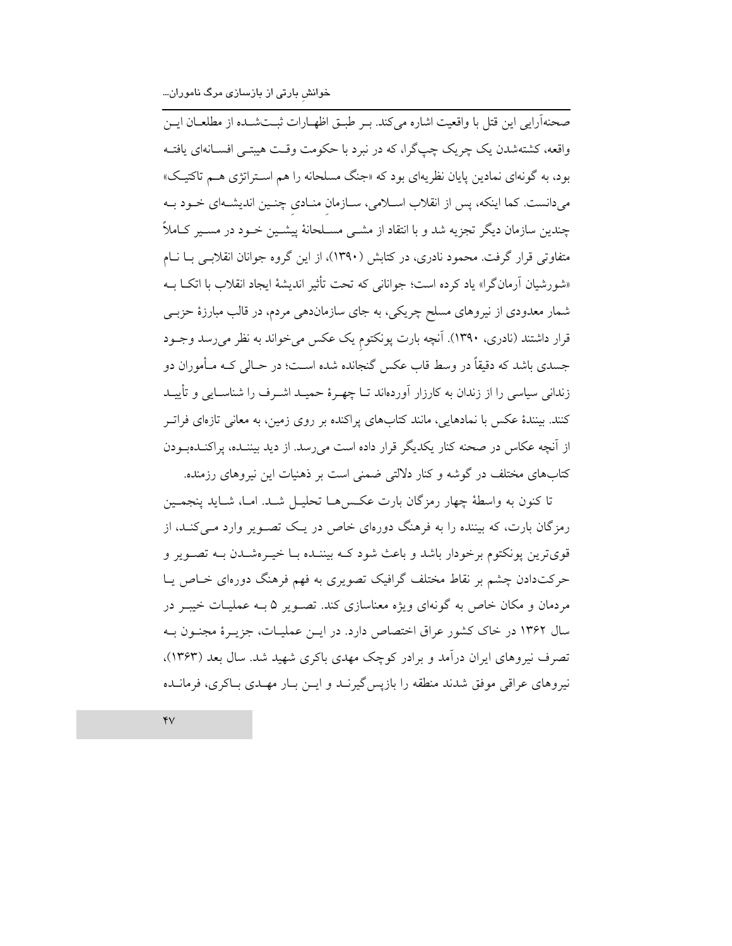صحنهآرايي اين قتل با واقعيت اشاره مي كند. بـر طبــق اظهــارات ثبــتشــده از مطلعــان ايــن واقعه، کشتهشدن یک چریک چپگرا، که در نبرد با حکومت وقـت هیبتـی افســانهای یافتــه بود، به گونهای نمادین پایان نظریهای بود که «جنگ مسلحانه را هم استراتژی هـم تاکتیـک» میدانست. کما اینکه، پس از انقلاب اسـلامی، سـازمان منـادی چنـین اندیشـهای خـود بـه چندین سازمان دیگر تجزیه شد و با انتقاد از مشــی مســلحانهٔ پیشــین خــود در مســیر کــاملاً متفاوتی قرار گرفت. محمود نادری، در کتابش (۱۳۹۰)، از این گروه جوانان انقلابسی بـا نــام «شورشیان أرمانگرا» یاد کرده است؛ جوانانی که تحت تأثیر اندیشهٔ ایجاد انقلاب با اتکI بـه شمار معدودی از نیروهای مسلح چریکی، به جای سازماندهی مردم، در قالب مبارزهٔ حزبـی قرار داشتند (نادری، ۱۳۹۰). آنچه بارت پونکتوم یک عکس میخواند به نظر میرسد وجـود جسدي باشد كه دقيقاً در وسط قاب عكس گنجانده شده اسـت؛ در حـالـي كــه مــأموران دو زندانی سیاسی را از زندان به کارزار اَوردهاند تــا چهـرهٔ حمیــد اشــرف را شناســایی و تأییــد کنند. بینندهٔ عکس با نمادهایی، مانند کتابهای پراکنده بر روی زمین، به معانی تازهای فراتـر از آنچه عکاس در صحنه کنار یکدیگر قرار داده است می رسد. از دید بیننـده، پراکنـدهبـودن کتابهای مختلف در گوشه و کنار دلالتی ضمنی است بر ذهنیات این نیروهای رزمنده.

تا كنون به واسطهٔ چهار رمزگان بارت عكسرهـا تحليـل شـد. امـا، شـايد ينجمـين رمزگان بارت، که بیننده را به فرهنگ دورهای خاص در یک تصـویر وارد مـی کنـد، از قویترین پونکتوم برخودار باشد و باعث شود کـه بیننـده بـا خیـرهشـدن بـه تصـویر و حرکتدادن چشم بر نقاط مختلف گرافیک تصویری به فهم فرهنگ دورهای خـاص یــا مردمان و مکان خاص به گونهای ویژه معناسازی کند. تصـویر ۵ بـه عملیـات خیبـر در سال ۱۳۶۲ در خاک کشور عراق اختصاص دارد. در ایــن عملیــات، جزیــرهٔ مجنــون بــه تصرف نیروهای ایران درآمد و برادر کوچک مهدی باکری شهید شد. سال بعد (۱۳۶۳)، نیروهای عراقی موفق شدند منطقه را بازپس گیرنـد و ایـن بـار مهـدی بـاکری، فرمانـده

 $\mathbf{y}$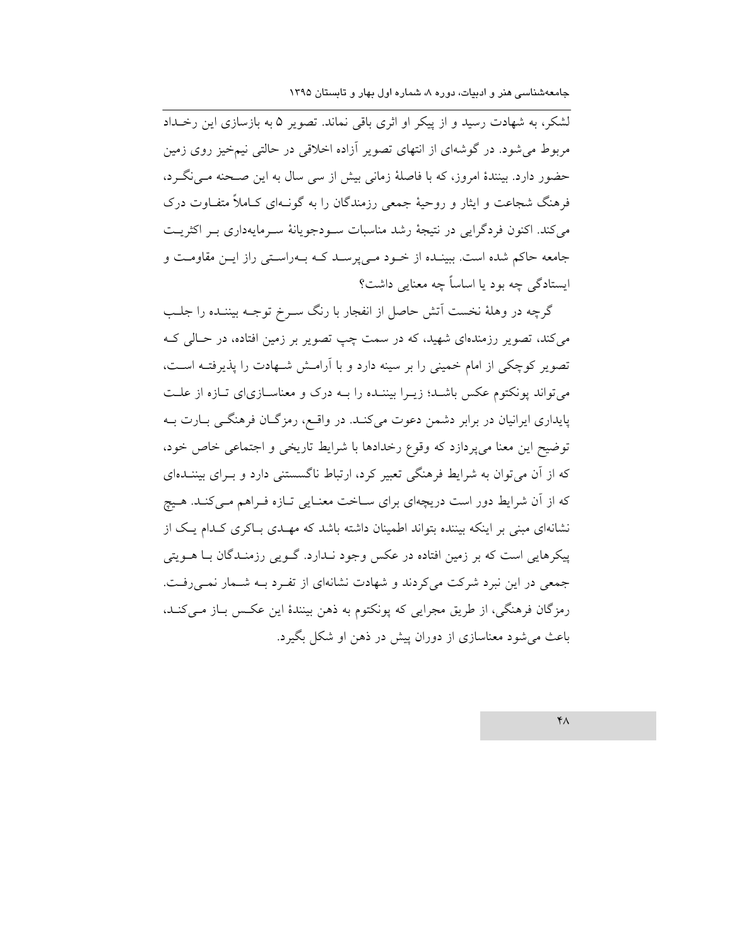لشکر، به شهادت رسید و از پیکر او اثری باقی نماند. تصویر ۵ به بازسازی این رخـداد مربوط می شود. در گوشهای از انتهای تصویر آزاده اخلاقی در حالتی نیمخیز روی زمین حضور دارد. بینندهٔ امروز، که با فاصلهٔ زمانی بیش از سی سال به این صـحنه مـی نگـرد، فرهنگ شجاعت و ایثار و روحیهٔ جمعی رزمندگان را به گونـهای کـاملاً متفـاوت درک مي كند. اكنون فردگرايي در نتيجهٔ رشد مناسبات سـودجويانهٔ سـرمايهداري بـر اكثريـت جامعه حاکم شده است. ببینـده از خـود مـی پرسـد کـه بـهراسـتی راز ایـن مقاومـت و ایستادگی چه بود یا اساساً چه معنایی داشت؟

گرچه در وهلهٔ نخست اَتش حاصل از انفجار با رنگ سـرخ توجــه بیننــده را جلــب میکند، تصویر رزمندهای شهید، که در سمت چپ تصویر بر زمین افتاده، در حـالی کـه تصویر کوچکی از امام خمینی را بر سینه دارد و با آرامش شـهادت را پذیرفتـه اسـت، می تواند پونکتوم عکس باشـد؛ زیـرا بیننـده را بـه درک و معناسـازی|ی تـازه از علـت یایداری ایرانیان در برابر دشمن دعوت میکند. در واقع، رمزگان فرهنگی بارت بـه توضیح این معنا میپردازد که وقوع رخدادها با شرایط تاریخی و اجتماعی خاص خود، که از آن می توان به شرایط فرهنگی تعبیر کرد، ارتباط ناگسستنی دارد و بـرای بیننــدهای که از آن شرایط دور است دریچهای برای سـاخت معنـایی تـازه فـراهم مـیکنـد. هـیچ نشانهای مبنی بر اینکه بیننده بتواند اطمینان داشته باشد که مهـدی بـاکری کـدام یـک از پیکرهایی است که بر زمین افتاده در عکس وجود نـدارد. گــویی رزمنـدگان بــا هــویتی جمعی در این نبرد شرکت می کردند و شهادت نشانهای از تفرد بـه شـمار نمـی رفـت. رمزگان فرهنگی، از طریق مجرایی که پونکتوم به ذهن بینندهٔ این عکس بـاز مـیکنــد، باعث می شود معناسازی از دوران پیش در ذهن او شکل بگیرد.

 $Y_A$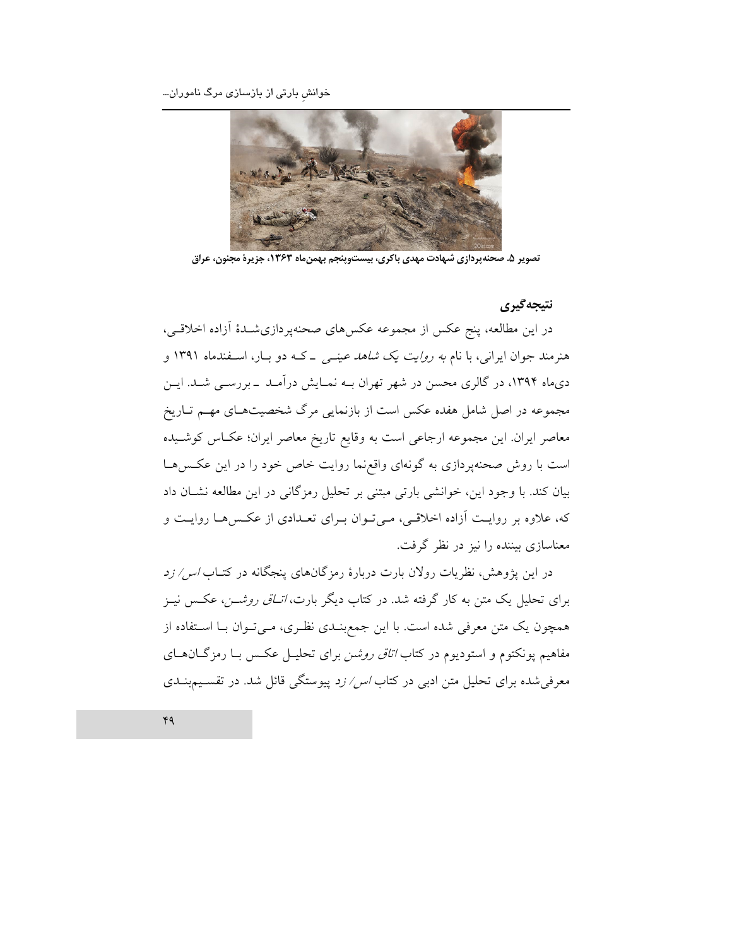خوانش بارتی از بازسازی مرگ ناموران...



تصویر ۵. صحنهپردازی شبهادت مهدی باکری، بیستوپنجم بهمنماه ۱۳۶۳، جزیرهٔ مجنون، عراق

### نتىجەگىرى

در این مطالعه، پنج عکس از مجموعه عکسهای صحنهپردازیشـدهٔ اَزاده اخلاقـی، هنرمند جوان ایرانی، با نام *به روایت یک شاهد عینـی - کـه دو بــا*ر، اســفندماه ۱۳۹۱ و دیماه ۱۳۹۴، در گالری محسن در شهر تهران بـه نمـایش درآمـد ـ بررسـی شـد. ایـن مجموعه در اصل شامل هفده عکس است از بازنمایی مرگ شخصیتهـای مهـم تـاریخ معاصر ایران. این مجموعه ارجاعی است به وقایع تاریخ معاصر ایران؛ عکـاس کوشـیده است با روش صحنهپردازی به گونهای واقعهنا روایت خاص خود را در این عکسها بیان کند. با وجود این، خوانشی بارتی مبتنی بر تحلیل رمزگانی در این مطالعه نشــان داد که، علاوه بر روایت آزاده اخلاقیی، میتوان برای تعدادی از عکسها روایت و معناسازی بیننده را نیز در نظر گرفت.

در این پژوهش، نظریات رولان بارت دربارهٔ رمزگانهای پنجگانه در کتــاب *اس/ زد* برای تحلیل یک متن به کار گرفته شد. در کتاب دیگر بارت، *اتـاق روشــن*، عکـس نیـز همچون یک متن معرفی شده است. با این جمع بنـدی نظـری، مـیتـوان بـا اسـتفاده از مفاهیم پونکتوم و استودیوم در کتاب *اتاق روشن* برای تحلیــل عکــس بــا رمزگــانهــای معرفی شده برای تحلیل متن ادبی در کتاب *اس/ زد* پیوستگی قائل شد. در تقسیمبنــدی

 $49$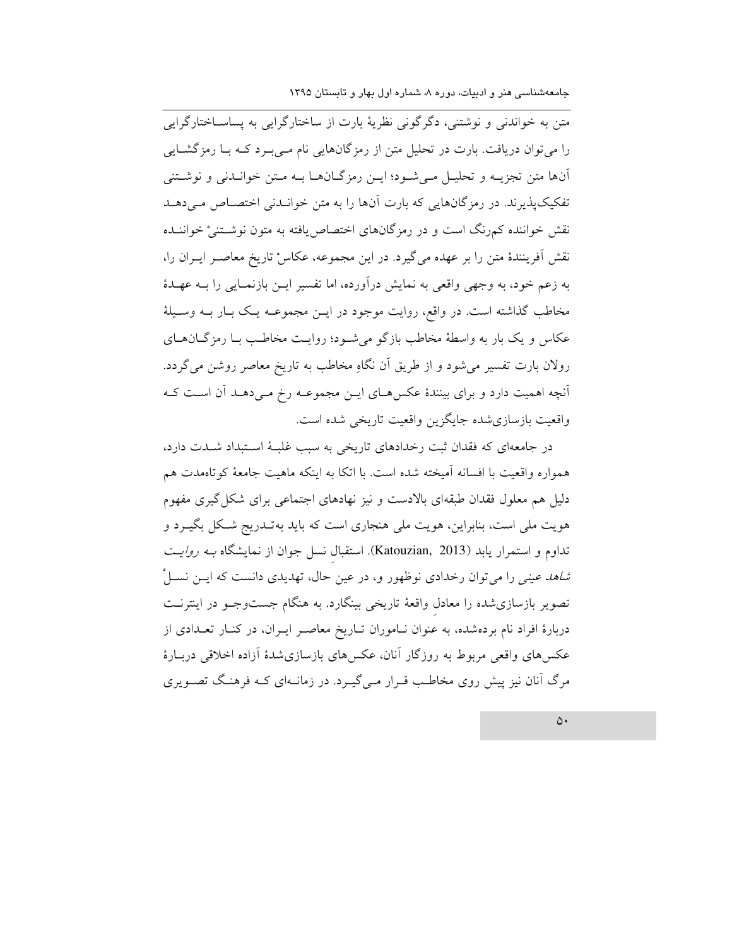متن به خواندنی و نوشتنی، دگرگونی نظریهٔ بارت از ساختارگرایی به پساسـاختارگرایی را می توان دریافت. بارت در تحلیل متن از رمزگانهایی نام مـیبـرد کـه بـا رمزگشـایی آنها متن تجزیـه و تحلیـل مـیشـود؛ ایـن رمزگـانهـا بـه مـتن خوانـدنی و نوشـتنی تفکیک پذیرند. در رمزگانهایی که بارت آنها را به متن خوانیدنی اختصاص می دهید نقش خواننده کمرنگ است و در رمزگانهای اختصاصیافته به متون نوشــتنیْ خواننــده نقش آفرینندهٔ متن را بر عهده میگیرد. در این مجموعه، عکاس تاریخ معاصـر ایـران را، به زعم خود، به وجهی واقعی به نمایش درآورده، اما تفسیر ایـن بازنمـایی را بـه عهـدهٔ مخاطب گذاشته است. در واقع، روایت موجود در ایـن مجموعـه یـک بـار بـه وسـیلهٔ عکاس و یک بار به واسطهٔ مخاطب بازگو میشود؛ روایت مخاطب بـا رمزگـانهـای رولان بارت تفسیر می شود و از طریق آن نگاهِ مخاطب به تاریخ معاصر روشن میگردد. آنچه اهمیت دارد و برای بینندهٔ عکسهای ایـن مجموعـه رخ مـیدهـد آن اسـت کـه واقعيت بازسازي شده جايگزين واقعيت تاريخي شده است.

در جامعهای که فقدان ثبت رخدادهای تاریخی به سبب غلبهٔ استبداد شـدت دارد، همواره واقعیت با افسانه آمیخته شده است. با اتکا به اینکه ماهیت جامعهٔ کوتاهمدت هم دلیل هم معلول فقدان طبقهای بالادست و نیز نهادهای اجتماعی برای شکل گیری مفهوم هویت ملی است، بنابراین، هویت ملی هنجاری است که باید بهتـدریج شـکل بگیـرد و تداوم و استمرار يابد (Katouzian, 2013). استقبال نسل جوان از نمايشگاه بــه *روايـت شاهد عینی ر*ا می توان رخدادی نوظهور و، در عین حال، تهدیدی دانست که ایــن نســـلْ تصویر بازسازی شده را معادل واقعهٔ تاریخی بینگارد. به هنگام جستوجـو در اینترنـت دربارهٔ افراد نام بردهشده، به عنوان نـاموران تـاریخ معاصـر ایـران، در کنـار تعـدادی از عکس های واقعی مربوط به روزگار آنان، عکسهای بازسازیشدهٔ آزاده اخلاقی دربـارهٔ مرگ آنان نیز پیش روی مخاطب قـرار مـی گیـرد. در زمانـهای کـه فرهنـگ تصـویری